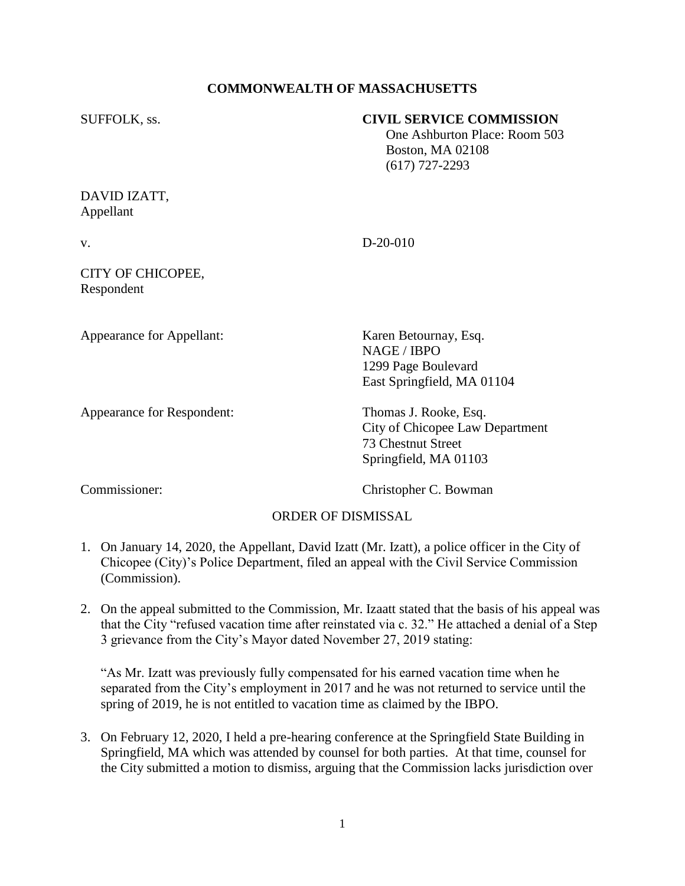## **COMMONWEALTH OF MASSACHUSETTS**

#### SUFFOLK, ss. **CIVIL SERVICE COMMISSION**

 One Ashburton Place: Room 503 Boston, MA 02108 (617) 727-2293

## DAVID IZATT, Appellant

# v. D-20-010

## CITY OF CHICOPEE, Respondent

Appearance for Appellant: Karen Betournay, Esq.

Appearance for Respondent: Thomas J. Rooke, Esq.

NAGE / IBPO 1299 Page Boulevard East Springfield, MA 01104

City of Chicopee Law Department 73 Chestnut Street Springfield, MA 01103

Commissioner: Christopher C. Bowman

## ORDER OF DISMISSAL

- 1. On January 14, 2020, the Appellant, David Izatt (Mr. Izatt), a police officer in the City of Chicopee (City)'s Police Department, filed an appeal with the Civil Service Commission (Commission).
- 2. On the appeal submitted to the Commission, Mr. Izaatt stated that the basis of his appeal was that the City "refused vacation time after reinstated via c. 32." He attached a denial of a Step 3 grievance from the City's Mayor dated November 27, 2019 stating:

"As Mr. Izatt was previously fully compensated for his earned vacation time when he separated from the City's employment in 2017 and he was not returned to service until the spring of 2019, he is not entitled to vacation time as claimed by the IBPO.

3. On February 12, 2020, I held a pre-hearing conference at the Springfield State Building in Springfield, MA which was attended by counsel for both parties. At that time, counsel for the City submitted a motion to dismiss, arguing that the Commission lacks jurisdiction over